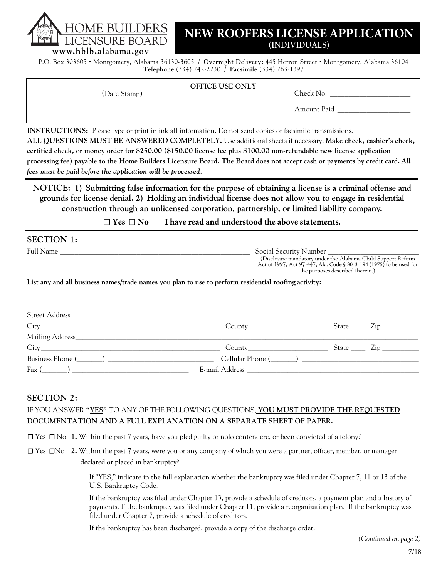JRE BOARD **www.hblb.alabama.gov**

# **NEW ROOFERS LICENSE APPLICATION (INDIVIDUALS)**

P.O. Box 303605 • Montgomery, Alabama 36130-3605 / **Overnight Delivery:** 445 Herron Street • Montgomery, Alabama 36104 **Telephone** (334) 242-2230 / **Facsimile** (334) 263-1397

| (Date Stamp) | <b>OFFICE USE ONLY</b> | Check No.   |
|--------------|------------------------|-------------|
|              |                        | Amount Paid |

**INSTRUCTIONS:** Please type or print in ink all information. Do not send copies or facsimile transmissions.

**ALL QUESTIONS MUST BE ANSWERED COMPLETELY.** Use additional sheets if necessary. **Make check, cashier's check, certified check, or money order for \$250.00 (\$150.00 license fee plus \$100.00 non-refundable new license application processing fee) payable to the Home Builders Licensure Board. The Board does not accept cash or payments by credit card.** *All fees must be paid before the application will be processed.*

**NOTICE: 1) Submitting false information for the purpose of obtaining a license is a criminal offense and grounds for license denial. 2) Holding an individual license does not allow you to engage in residential construction through an unlicensed corporation, partnership, or limited liability company.**

**☐ Yes ☐ No I have read and understood the above statements.**

| <b>SECTION 1:</b> |                                                                                                                                                                                                   |
|-------------------|---------------------------------------------------------------------------------------------------------------------------------------------------------------------------------------------------|
| Full Name         | Social Security Number<br>(Disclosure mandatory under the Alabama Child Support Reform<br>Act of 1997, Act 97-447, Ala. Code § 30-3-194 (1975) to be used for<br>the purposes described therein.) |
|                   |                                                                                                                                                                                                   |

\_\_\_\_\_\_\_\_\_\_\_\_\_\_\_\_\_\_\_\_\_\_\_\_\_\_\_\_\_\_\_\_\_\_\_\_\_\_\_\_\_\_\_\_\_\_\_\_\_\_\_\_\_\_\_\_\_\_\_\_\_\_\_\_\_\_\_\_\_\_\_\_\_\_\_\_\_\_\_\_\_\_\_\_\_\_\_\_\_\_\_\_\_\_\_\_\_\_\_\_\_\_\_\_\_\_\_

**List any and all business names/trade names you plan to use to perform residential roofing activity:**

| Street Address          |         |                                       |
|-------------------------|---------|---------------------------------------|
|                         |         | State $\frac{\text{Cip}}{\text{Cip}}$ |
|                         |         |                                       |
|                         | Country | State Zip                             |
| Business Phone $(\_\_)$ |         |                                       |
|                         |         |                                       |

### **SECTION 2:**

# IF YOU ANSWER **"YES"** TO ANY OF THE FOLLOWING QUESTIONS, **YOU MUST PROVIDE THE REQUESTED DOCUMENTATION AND A FULL EXPLANATION ON A SEPARATE SHEET OF PAPER.**

- ☐ Yes ☐ No **1.** Within the past 7 years, have you pled guilty or nolo contendere, or been convicted of a felony?
- ☐ Yes ☐No **2.** Within the past 7 years, were you or any company of which you were a partner, officer, member, or manager declared or placed in bankruptcy?

If "YES," indicate in the full explanation whether the bankruptcy was filed under Chapter 7, 11 or 13 of the U.S. Bankruptcy Code.

If the bankruptcy was filed under Chapter 13, provide a schedule of creditors, a payment plan and a history of payments. If the bankruptcy was filed under Chapter 11, provide a reorganization plan. If the bankruptcy was filed under Chapter 7, provide a schedule of creditors.

If the bankruptcy has been discharged, provide a copy of the discharge order.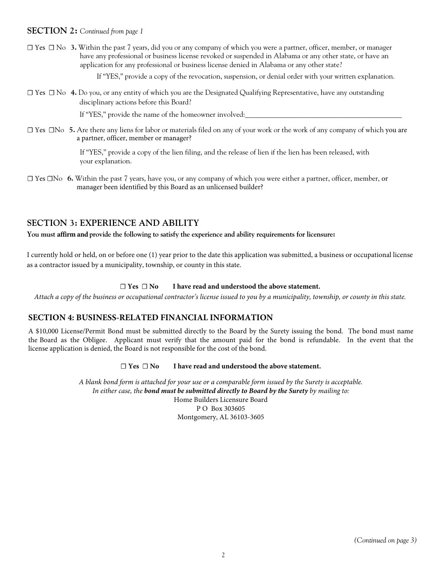### **SECTION 2:** *Continued from page 1*

☐ Yes ☐ No **3.** Within the past 7 years, did you or any company of which you were a partner, officer, member, or manager have any professional or business license revoked or suspended in Alabama or any other state, or have an application for any professional or business license denied in Alabama or any other state?

If "YES," provide a copy of the revocation, suspension, or denial order with your written explanation.

☐ Yes ☐ No **4.** Do you, or any entity of which you are the Designated Qualifying Representative, have any outstanding disciplinary actions before this Board?

If "YES," provide the name of the homeowner involved:

☐ Yes ☐No **5.** Are there any liens for labor or materials filed on any of your work or the work of any company of which you are a partner, officer, member or manager?

> If "YES," provide a copy of the lien filing, and the release of lien if the lien has been released, with your explanation.

☐ Yes ☐No **6.** Within the past 7 years, have you, or any company of which you were either a partner, officer, member, or manager been identified by this Board as an unlicensed builder?

### **SECTION 3: EXPERIENCE AND ABILITY**

**You must affirm and provide the following to satisfy the experience and ability requirements for licensure:**

I currently hold or held, on or before one (1) year prior to the date this application was submitted, a business or occupational license as a contractor issued by a municipality, township, or county in this state.

### **☐ Yes ☐ No I have read and understood the above statement.**

*Attach a copy of the business or occupational contractor's license issued to you by a municipality, township, or county in this state.*

### **SECTION 4: BUSINESS-RELATED FINANCIAL INFORMATION**

A \$10,000 License/Permit Bond must be submitted directly to the Board by the Surety issuing the bond. The bond must name the Board as the Obligee. Applicant must verify that the amount paid for the bond is refundable. In the event that the license application is denied, the Board is not responsible for the cost of the bond.

#### **☐ Yes ☐ No I have read and understood the above statement.**

*A blank bond form is attached for your use or a comparable form issued by the Surety is acceptable. In either case, the bond must be submitted directly to Board by the Surety by mailing to:* Home Builders Licensure Board P O Box 303605

Montgomery, AL 36103-3605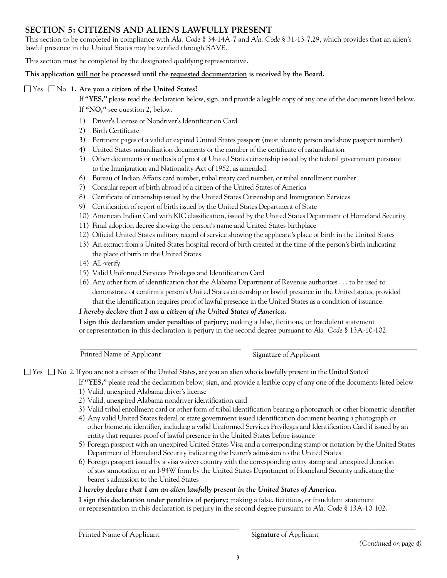# **SECTION 5: CITIZENS AND ALIENS LAWFULLY PRESENT**

This section to be completed in compliance with *Ala. Code* § 34-14A-7 and *Ala. Code* § 31-13-7,29, which provides that an alien's lawful presence in the United States may be verified through SAVE.

This section must be completed by the designated qualifying representative.

**This application will not be processed until the requested documentation is received by the Board.**

## Yes No **1. Are you a citizen of the United States?**

If **"YES,"** please read the declaration below, sign, and provide a legible copy of any one of the documents listed below. If **"NO,"** see question 2, below.

- 1) Driver's License or Nondriver's Identification Card
- 2) Birth Certificate
- 3) Pertinent pages of a valid or expired United States passport (must identify person and show passport number)
- 4) United States naturalization documents or the number of the certificate of naturalization
- 5) Other documents or methods of proof of United States citizenship issued by the federal government pursuant to the Immigration and Nationality Act of 1952, as amended.
- 6) Bureau of Indian Affairs card number, tribal treaty card number, or tribal enrollment number
- 7) Consular report of birth abroad of a citizen of the United States of America
- 8) Certificate of citizenship issued by the United States Citizenship and Immigration Services
- 9) Certification of report of birth issued by the United States Department of State
- 10) American Indian Card with KIC classification, issued by the United States Department of Homeland Security
- 11) Final adoption decree showing the person's name and United States birthplace
- 12) Official United States military record of service showing the applicant's place of birth in the United States
- 13) An extract from a United States hospital record of birth created at the time of the person's birth indicating the place of birth in the United States
- 14) AL-verify
- 15) Valid Uniformed Services Privileges and Identification Card
- 16) Any other form of identification that the Alabama Department of Revenue authorizes . . . to be used to demonstrate of confirm a person's United States citizenship or lawful presence in the United states, provided that the identification requires proof of lawful presence in the United States as a condition of issuance.

### *I hereby declare that I am a citizen of the United States of America.*

**I sign this declaration under penalties of perjury;** making a false, fictitious, or fraudulent statement or representation in this declaration is perjury in the second degree pursuant to *Ala. Code* § 13A-10-102.

Printed Name of Applicant

\_\_\_\_\_\_\_\_\_\_\_\_\_\_\_\_\_\_\_\_\_\_\_\_\_\_\_\_\_\_\_\_\_\_\_\_\_\_\_\_\_\_\_\_\_ Signature of Applicant

Yes No 2. If you are not a citizen of the United States, are you an alien who is lawfully present in the United States?

- If **"YES,"** please read the declaration below, sign, and provide a legible copy of any one of the documents listed below.
- 1) Valid, unexpired Alabama driver's license
- 2) Valid, unexpired Alabama nondriver identification card

\_\_\_\_\_\_\_\_\_\_\_\_\_\_\_\_\_\_\_\_\_\_\_\_\_\_\_\_\_\_\_\_\_\_\_\_\_\_\_\_\_\_\_\_

- 3) Valid tribal enrollment card or other form of tribal identification bearing a photograph or other biometric identifier
- 4) Any valid United States federal or state government issued identification document bearing a photograph or other biometric identifier, including a valid Uniformed Services Privileges and Identification Card if issued by an entity that requires proof of lawful presence in the United States before issuance
- 5) Foreign passport with an unexpired United States Visa and a corresponding stamp or notation by the United States Department of Homeland Security indicating the bearer's admission to the United States
- 6) Foreign passport issued by a visa waiver country with the corresponding entry stamp and unexpired duration of stay annotation or an I-94W form by the United States Department of Homeland Security indicating the bearer's admission to the United States

### *I hereby declare that I am an alien lawfully present in the United States of America.*

**I sign this declaration under penalties of perjury;** making a false, fictitious, or fraudulent statement or representation in this declaration is perjury in the second degree pursuant to *Ala. Code* § 13A-10-102.